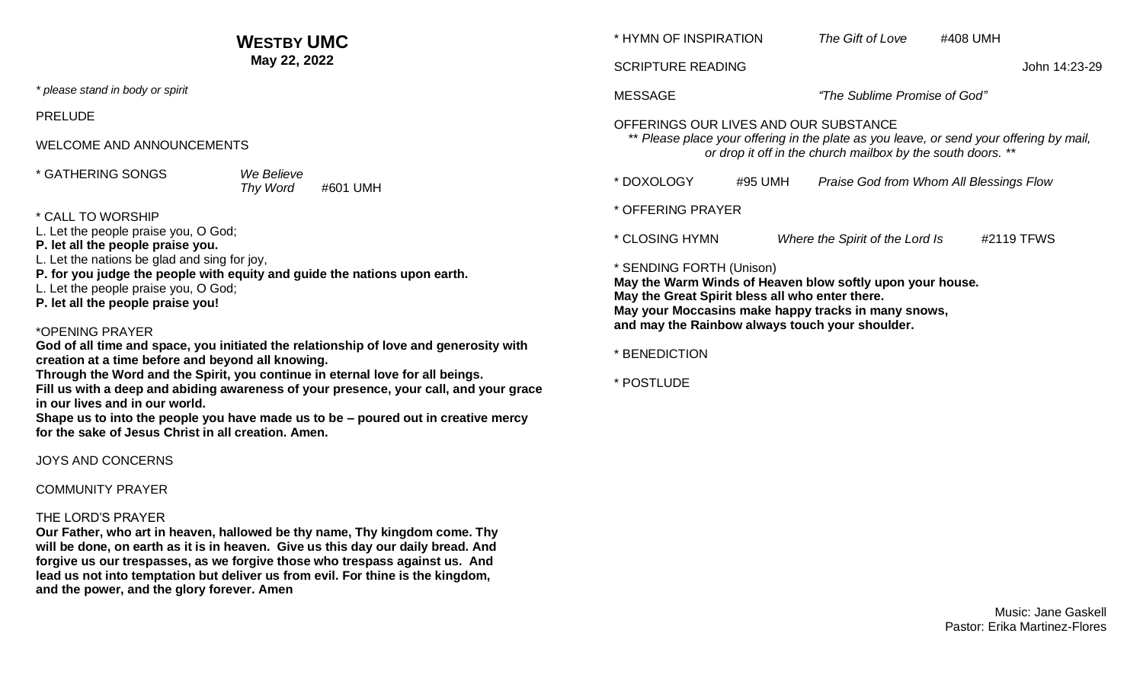|                                                                                                                                                                                                                                                                                                                                                                                                                                                                                                                                                                                                                                                                                                                                                                                                                                   | <b>WESTBY UMC</b>                  |                                                                                                                                                                                                                                                    | * HYMN OF INSPIRATION |                                         | #408 UMH |            |
|-----------------------------------------------------------------------------------------------------------------------------------------------------------------------------------------------------------------------------------------------------------------------------------------------------------------------------------------------------------------------------------------------------------------------------------------------------------------------------------------------------------------------------------------------------------------------------------------------------------------------------------------------------------------------------------------------------------------------------------------------------------------------------------------------------------------------------------|------------------------------------|----------------------------------------------------------------------------------------------------------------------------------------------------------------------------------------------------------------------------------------------------|-----------------------|-----------------------------------------|----------|------------|
| May 22, 2022                                                                                                                                                                                                                                                                                                                                                                                                                                                                                                                                                                                                                                                                                                                                                                                                                      |                                    | <b>SCRIPTURE READING</b><br>John 14:23-29                                                                                                                                                                                                          |                       |                                         |          |            |
| * please stand in body or spirit                                                                                                                                                                                                                                                                                                                                                                                                                                                                                                                                                                                                                                                                                                                                                                                                  |                                    | <b>MESSAGE</b>                                                                                                                                                                                                                                     |                       | "The Sublime Promise of God"            |          |            |
| <b>PRELUDE</b>                                                                                                                                                                                                                                                                                                                                                                                                                                                                                                                                                                                                                                                                                                                                                                                                                    |                                    | OFFERINGS OUR LIVES AND OUR SUBSTANCE<br>** Please place your offering in the plate as you leave, or send your offering by mail,<br>or drop it off in the church mailbox by the south doors. **                                                    |                       |                                         |          |            |
| <b>WELCOME AND ANNOUNCEMENTS</b>                                                                                                                                                                                                                                                                                                                                                                                                                                                                                                                                                                                                                                                                                                                                                                                                  |                                    |                                                                                                                                                                                                                                                    |                       |                                         |          |            |
| * GATHERING SONGS                                                                                                                                                                                                                                                                                                                                                                                                                                                                                                                                                                                                                                                                                                                                                                                                                 | We Believe<br>Thy Word<br>#601 UMH | * DOXOLOGY                                                                                                                                                                                                                                         | #95 UMH               | Praise God from Whom All Blessings Flow |          |            |
| * CALL TO WORSHIP<br>L. Let the people praise you, O God;<br>P. let all the people praise you.<br>L. Let the nations be glad and sing for joy,<br>P. for you judge the people with equity and guide the nations upon earth.<br>L. Let the people praise you, O God;<br>P. let all the people praise you!<br>*OPENING PRAYER<br>God of all time and space, you initiated the relationship of love and generosity with<br>creation at a time before and beyond all knowing.<br>Through the Word and the Spirit, you continue in eternal love for all beings.<br>Fill us with a deep and abiding awareness of your presence, your call, and your grace<br>in our lives and in our world.<br>Shape us to into the people you have made us to be - poured out in creative mercy<br>for the sake of Jesus Christ in all creation. Amen. |                                    | * OFFERING PRAYER                                                                                                                                                                                                                                  |                       |                                         |          |            |
|                                                                                                                                                                                                                                                                                                                                                                                                                                                                                                                                                                                                                                                                                                                                                                                                                                   |                                    | * CLOSING HYMN                                                                                                                                                                                                                                     |                       | Where the Spirit of the Lord Is         |          | #2119 TFWS |
|                                                                                                                                                                                                                                                                                                                                                                                                                                                                                                                                                                                                                                                                                                                                                                                                                                   |                                    | * SENDING FORTH (Unison)<br>May the Warm Winds of Heaven blow softly upon your house.<br>May the Great Spirit bless all who enter there.<br>May your Moccasins make happy tracks in many snows,<br>and may the Rainbow always touch your shoulder. |                       |                                         |          |            |
|                                                                                                                                                                                                                                                                                                                                                                                                                                                                                                                                                                                                                                                                                                                                                                                                                                   |                                    | * BENEDICTION<br>* POSTLUDE                                                                                                                                                                                                                        |                       |                                         |          |            |
|                                                                                                                                                                                                                                                                                                                                                                                                                                                                                                                                                                                                                                                                                                                                                                                                                                   |                                    |                                                                                                                                                                                                                                                    |                       |                                         |          |            |
| <b>COMMUNITY PRAYER</b>                                                                                                                                                                                                                                                                                                                                                                                                                                                                                                                                                                                                                                                                                                                                                                                                           |                                    |                                                                                                                                                                                                                                                    |                       |                                         |          |            |

#### THE LORD'S PRAYER

**Our Father, who art in heaven, hallowed be thy name, Thy kingdom come. Thy will be done, on earth as it is in heaven. Give us this day our daily bread. And forgive us our trespasses, as we forgive those who trespass against us. And lead us not into temptation but deliver us from evil. For thine is the kingdom, and the power, and the glory forever. Amen**

> Music: Jane Gaskell Pastor: Erika Martinez-Flores